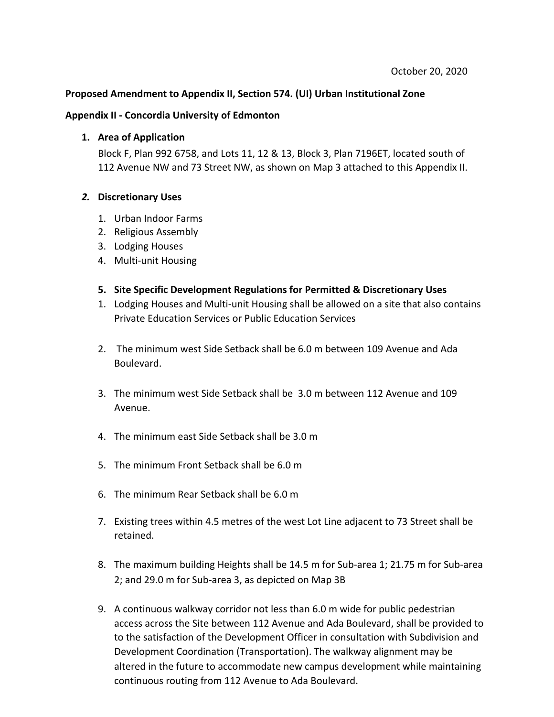## **Proposed Amendment to Appendix II, Section 574. (UI) Urban Institutional Zone**

## **Appendix II - Concordia University of Edmonton**

## **1. Area of Application**

Block F, Plan 992 6758, and Lots 11, 12 & 13, Block 3, Plan 7196ET, located south of 112 Avenue NW and 73 Street NW, as shown on Map 3 attached to this Appendix II.

## *2.* **Discretionary Uses**

- 1. Urban Indoor Farms
- 2. Religious Assembly
- 3. Lodging Houses
- 4. Multi-unit Housing
- **5. Site Specific Development Regulations for Permitted & Discretionary Uses**
- 1. Lodging Houses and Multi-unit Housing shall be allowed on a site that also contains Private Education Services or Public Education Services
- 2. The minimum west Side Setback shall be 6.0 m between 109 Avenue and Ada Boulevard.
- 3. The minimum west Side Setback shall be 3.0 m between 112 Avenue and 109 Avenue.
- 4. The minimum east Side Setback shall be 3.0 m
- 5. The minimum Front Setback shall be 6.0 m
- 6. The minimum Rear Setback shall be 6.0 m
- 7. Existing trees within 4.5 metres of the west Lot Line adjacent to 73 Street shall be retained.
- 8. The maximum building Heights shall be 14.5 m for Sub-area 1; 21.75 m for Sub-area 2; and 29.0 m for Sub-area 3, as depicted on Map 3B
- 9. A continuous walkway corridor not less than 6.0 m wide for public pedestrian access across the Site between 112 Avenue and Ada Boulevard, shall be provided to to the satisfaction of the Development Officer in consultation with Subdivision and Development Coordination (Transportation). The walkway alignment may be altered in the future to accommodate new campus development while maintaining continuous routing from 112 Avenue to Ada Boulevard.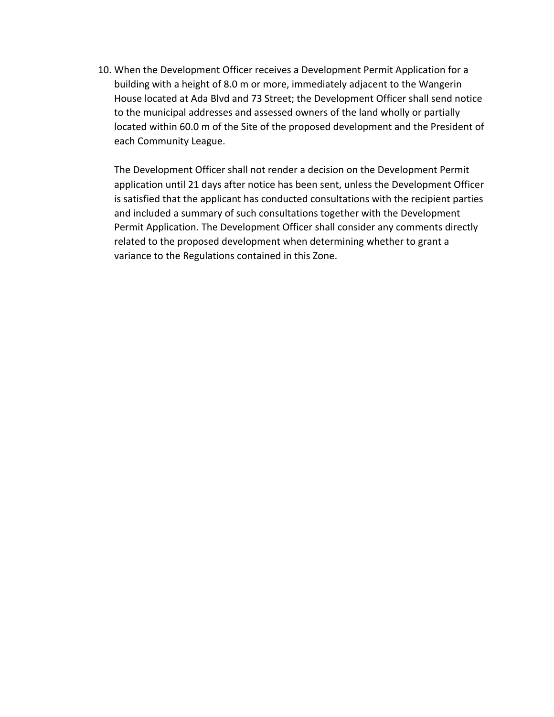10. When the Development Officer receives a Development Permit Application for a building with a height of 8.0 m or more, immediately adjacent to the Wangerin House located at Ada Blvd and 73 Street; the Development Officer shall send notice to the municipal addresses and assessed owners of the land wholly or partially located within 60.0 m of the Site of the proposed development and the President of each Community League.

The Development Officer shall not render a decision on the Development Permit application until 21 days after notice has been sent, unless the Development Officer is satisfied that the applicant has conducted consultations with the recipient parties and included a summary of such consultations together with the Development Permit Application. The Development Officer shall consider any comments directly related to the proposed development when determining whether to grant a variance to the Regulations contained in this Zone.